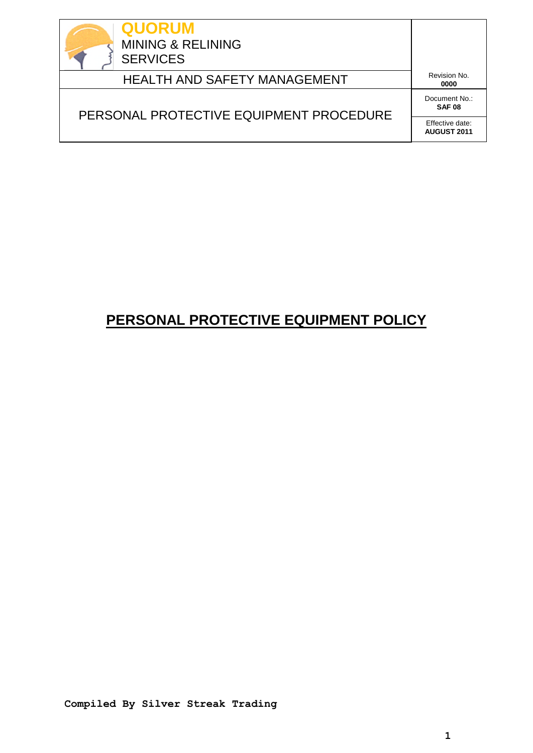

HEALTH AND SAFETY MANAGEMENT

**0000**

# PERSONAL PROTECTIVE EQUIPMENT PROCEDURE

Document No.: **SAF 08**

Effective date: **AUGUST 2011**

# **PERSONAL PROTECTIVE EQUIPMENT POLICY**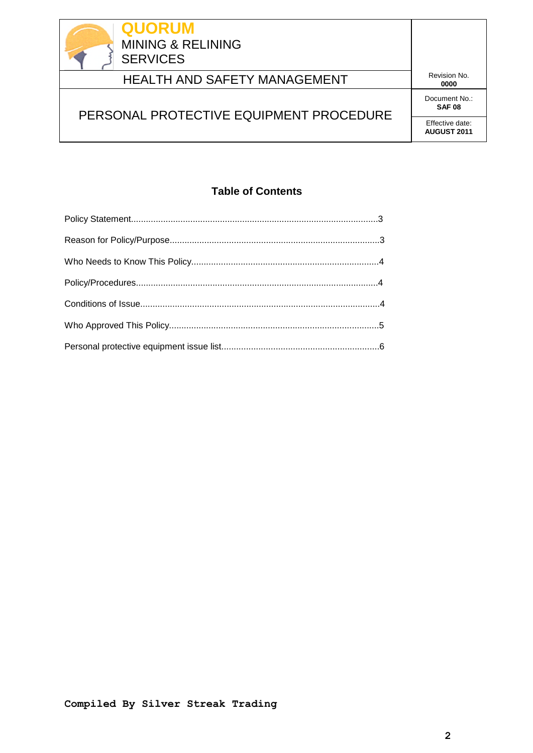

# HEALTH AND SAFETY MANAGEMENT

**0000**

# PERSONAL PROTECTIVE EQUIPMENT PROCEDURE

Document No.: **SAF 08**

Effective date: **AUGUST 2011**

### **Table of Contents**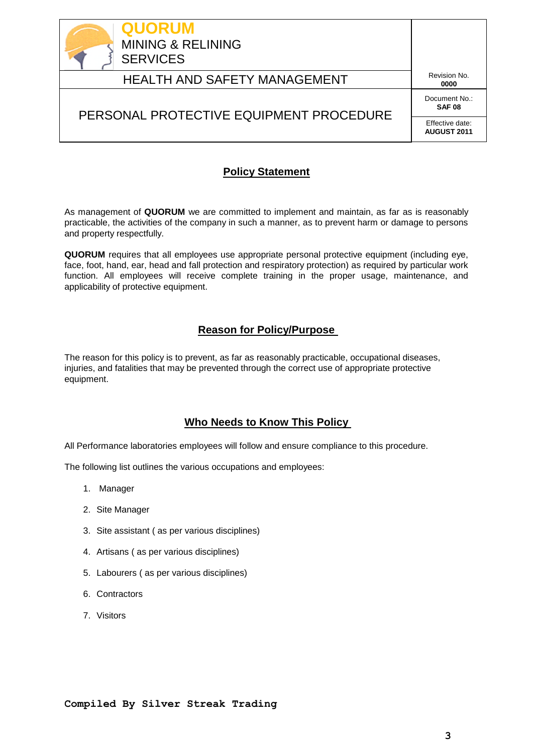

## HEALTH AND SAFETY MANAGEMENT

**0000**

## PERSONAL PROTECTIVE EQUIPMENT PROCEDURE

Document No.: **SAF 08**

Effective date: **AUGUST 2011**

### **Policy Statement**

As management of **QUORUM** we are committed to implement and maintain, as far as is reasonably practicable, the activities of the company in such a manner, as to prevent harm or damage to persons and property respectfully.

**QUORUM** requires that all employees use appropriate personal protective equipment (including eye, face, foot, hand, ear, head and fall protection and respiratory protection) as required by particular work function. All employees will receive complete training in the proper usage, maintenance, and applicability of protective equipment.

### **Reason for Policy/Purpose**

The reason for this policy is to prevent, as far as reasonably practicable, occupational diseases, injuries, and fatalities that may be prevented through the correct use of appropriate protective equipment.

### **Who Needs to Know This Policy**

All Performance laboratories employees will follow and ensure compliance to this procedure.

The following list outlines the various occupations and employees:

- 1. Manager
- 2. Site Manager
- 3. Site assistant ( as per various disciplines)
- 4. Artisans ( as per various disciplines)
- 5. Labourers ( as per various disciplines)
- 6. Contractors
- 7. Visitors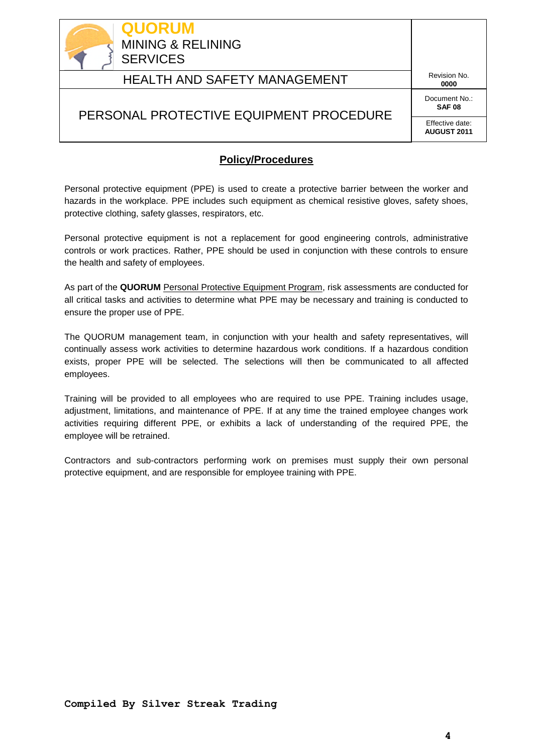

## HEALTH AND SAFETY MANAGEMENT

**0000**

#### Document No.: **SAF 08**

### PERSONAL PROTECTIVE EQUIPMENT PROCEDURE

Effective date: **AUGUST 2011**

### **Policy/Procedures**

Personal protective equipment (PPE) is used to create a protective barrier between the worker and hazards in the workplace. PPE includes such equipment as chemical resistive gloves, safety shoes, protective clothing, safety glasses, respirators, etc.

Personal protective equipment is not a replacement for good engineering controls, administrative controls or work practices. Rather, PPE should be used in conjunction with these controls to ensure the health and safety of employees.

As part of the **QUORUM** Personal Protective Equipment Program, risk assessments are conducted for all critical tasks and activities to determine what PPE may be necessary and training is conducted to ensure the proper use of PPE.

The QUORUM management team, in conjunction with your health and safety representatives, will continually assess work activities to determine hazardous work conditions. If a hazardous condition exists, proper PPE will be selected. The selections will then be communicated to all affected employees.

Training will be provided to all employees who are required to use PPE. Training includes usage, adjustment, limitations, and maintenance of PPE. If at any time the trained employee changes work activities requiring different PPE, or exhibits a lack of understanding of the required PPE, the employee will be retrained.

Contractors and sub-contractors performing work on premises must supply their own personal protective equipment, and are responsible for employee training with PPE.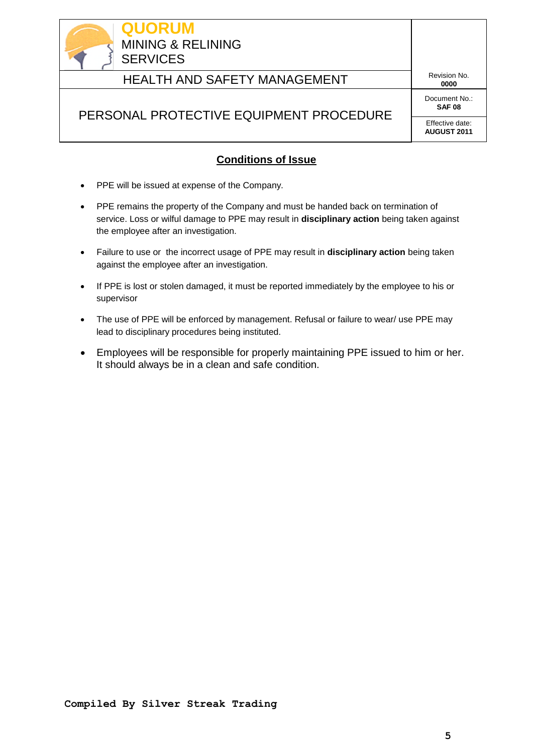

## HEALTH AND SAFETY MANAGEMENT

**0000**

#### Document No.: **SAF 08**

## PERSONAL PROTECTIVE EQUIPMENT PROCEDURE

Effective date: **AUGUST 2011**

### **Conditions of Issue**

- PPE will be issued at expense of the Company.
- PPE remains the property of the Company and must be handed back on termination of service. Loss or wilful damage to PPE may result in **disciplinary action** being taken against the employee after an investigation.
- Failure to use or the incorrect usage of PPE may result in **disciplinary action** being taken against the employee after an investigation.
- If PPE is lost or stolen damaged, it must be reported immediately by the employee to his or supervisor
- The use of PPE will be enforced by management. Refusal or failure to wear/ use PPE may lead to disciplinary procedures being instituted.
- Employees will be responsible for properly maintaining PPE issued to him or her. It should always be in a clean and safe condition.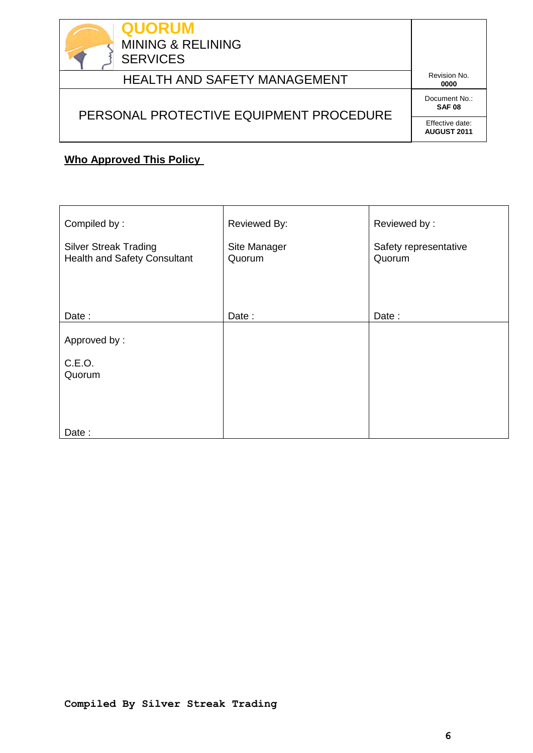

# HEALTH AND SAFETY MANAGEMENT

**0000**

# PERSONAL PROTECTIVE EQUIPMENT PROCEDURE

Document No.: **SAF 08**

Effective date: **AUGUST 2011**

### **Who Approved This Policy**

| Compiled by:                                                        | Reviewed By:           | Reviewed by:                    |  |  |
|---------------------------------------------------------------------|------------------------|---------------------------------|--|--|
| <b>Silver Streak Trading</b><br><b>Health and Safety Consultant</b> | Site Manager<br>Quorum | Safety representative<br>Quorum |  |  |
|                                                                     |                        |                                 |  |  |
| Date:                                                               | Date:                  | Date:                           |  |  |
| Approved by:                                                        |                        |                                 |  |  |
| C.E.O.<br>Quorum                                                    |                        |                                 |  |  |
|                                                                     |                        |                                 |  |  |
| Date:                                                               |                        |                                 |  |  |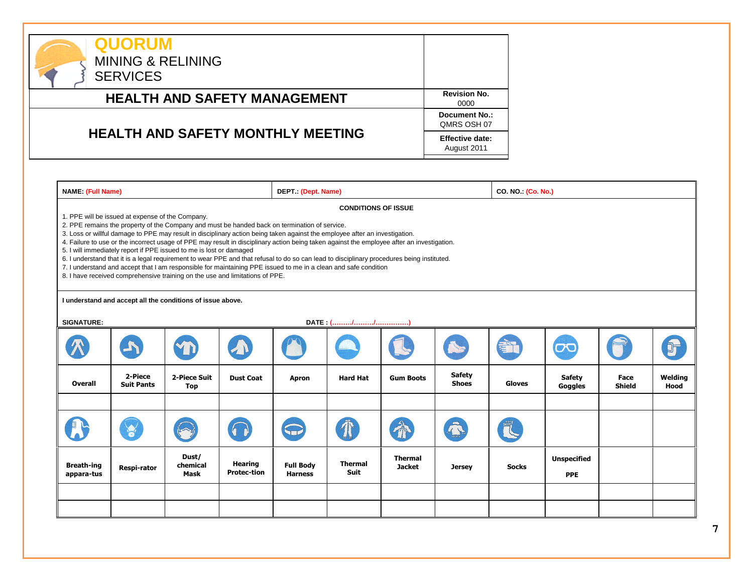

| <b>NAME:</b> (Full Name)                                                                                                                                                                                                                                                                                                                                                                                                                                                                                                                                                                                                                                                                                                                                                                                                                                                             |                                                                          |                            |                                      | DEPT.: (Dept. Name)                |                        |                                 |                               | CO. NO. (Co. No.) |                                  |                       |                 |
|--------------------------------------------------------------------------------------------------------------------------------------------------------------------------------------------------------------------------------------------------------------------------------------------------------------------------------------------------------------------------------------------------------------------------------------------------------------------------------------------------------------------------------------------------------------------------------------------------------------------------------------------------------------------------------------------------------------------------------------------------------------------------------------------------------------------------------------------------------------------------------------|--------------------------------------------------------------------------|----------------------------|--------------------------------------|------------------------------------|------------------------|---------------------------------|-------------------------------|-------------------|----------------------------------|-----------------------|-----------------|
| <b>CONDITIONS OF ISSUE</b><br>1. PPE will be issued at expense of the Company.<br>2. PPE remains the property of the Company and must be handed back on termination of service.<br>3. Loss or willful damage to PPE may result in disciplinary action being taken against the employee after an investigation.<br>4. Failure to use or the incorrect usage of PPE may result in disciplinary action being taken against the employee after an investigation.<br>5. I will immediately report if PPE issued to me is lost or damaged<br>6. I understand that it is a legal requirement to wear PPE and that refusal to do so can lead to disciplinary procedures being instituted.<br>7. I understand and accept that I am responsible for maintaining PPE issued to me in a clean and safe condition<br>8. I have received comprehensive training on the use and limitations of PPE. |                                                                          |                            |                                      |                                    |                        |                                 |                               |                   |                                  |                       |                 |
| <b>SIGNATURE:</b>                                                                                                                                                                                                                                                                                                                                                                                                                                                                                                                                                                                                                                                                                                                                                                                                                                                                    | I understand and accept all the conditions of issue above.<br>DATE: (//) |                            |                                      |                                    |                        |                                 |                               |                   |                                  |                       |                 |
|                                                                                                                                                                                                                                                                                                                                                                                                                                                                                                                                                                                                                                                                                                                                                                                                                                                                                      |                                                                          |                            |                                      |                                    |                        |                                 |                               |                   | $\overline{\mathbf{C}}$          |                       |                 |
| Overall                                                                                                                                                                                                                                                                                                                                                                                                                                                                                                                                                                                                                                                                                                                                                                                                                                                                              | 2-Piece<br><b>Suit Pants</b>                                             | 2-Piece Suit<br><b>Top</b> | <b>Dust Coat</b>                     | Apron                              | <b>Hard Hat</b>        | <b>Gum Boots</b>                | <b>Safety</b><br><b>Shoes</b> | <b>Gloves</b>     | <b>Safety</b><br>Goggles         | Face<br><b>Shield</b> | Welding<br>Hood |
|                                                                                                                                                                                                                                                                                                                                                                                                                                                                                                                                                                                                                                                                                                                                                                                                                                                                                      | S                                                                        |                            |                                      |                                    |                        |                                 |                               |                   |                                  |                       |                 |
| <b>Breath-ing</b><br>appara-tus                                                                                                                                                                                                                                                                                                                                                                                                                                                                                                                                                                                                                                                                                                                                                                                                                                                      | Respi-rator                                                              | Dust/<br>chemical<br>Mask  | <b>Hearing</b><br><b>Protec-tion</b> | <b>Full Body</b><br><b>Harness</b> | <b>Thermal</b><br>Suit | <b>Thermal</b><br><b>Jacket</b> | <b>Jersey</b>                 | <b>Socks</b>      | <b>Unspecified</b><br><b>PPE</b> |                       |                 |
|                                                                                                                                                                                                                                                                                                                                                                                                                                                                                                                                                                                                                                                                                                                                                                                                                                                                                      |                                                                          |                            |                                      |                                    |                        |                                 |                               |                   |                                  |                       |                 |